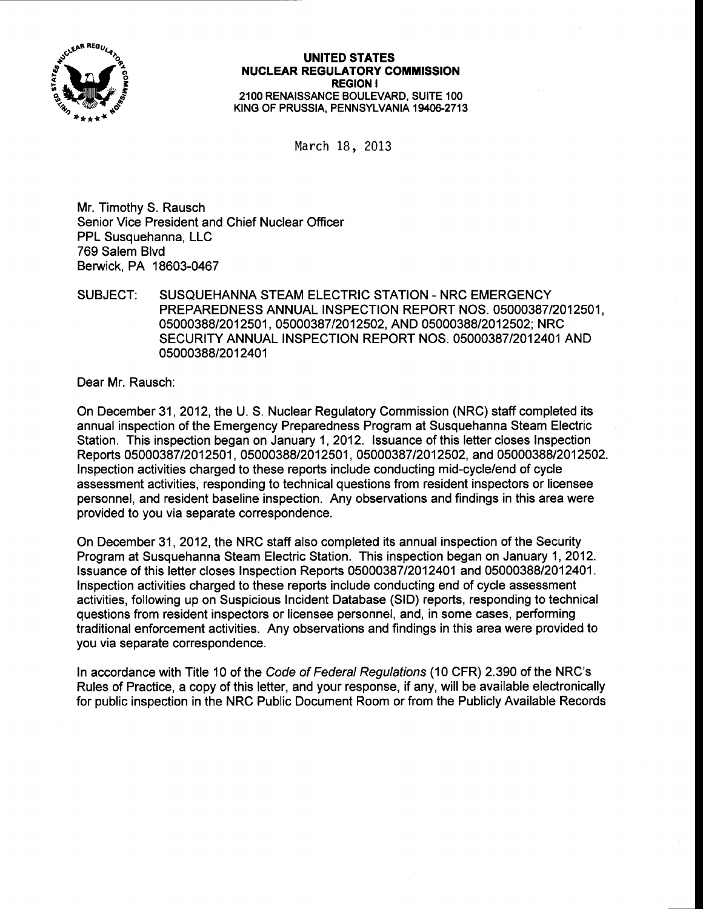

## UNITED STATES NUCLEAR REGULATORY COMMISSION REGION I 21OO RENAISSANCE BOULEVARD, SUITE 1OO KING OF PRUSSIA, PENNSYLVANIA 19406-2713

March 18, 2013

Mr. Timothy S. Rausch Senior Vice President and Chief Nuclear Officer PPL Susquehanna, LLC 769 Salem Blvd Berwick. PA 18603-0467

## SUBJECT: SUSQUEHANNA STEAM ELECTRIC STATION - NRC EMERGENCY PREPAREDNESS ANNUAL INSPECTION REPORT NOS. 05000387/2012501, 05000388/2012501, 05000387/2012502, AND 05000388/2012502; NRC SECURITY ANNUAL INSPECTION REPORT NOS. O5OOO387I2O124O1 AND 05000388/2012401

Dear Mr. Rausch:

On December 31, 2012, the U. S. Nuclear Regulatory Commission (NRC) staff completed its annual inspection of the Emergency Preparedness Program at Susquehanna Steam Electric Station. This inspection began on January 1,2012. lssuance of this letter closes Inspection Reports 05000387/2012501, 0500038812012501, 0500038712012502, and 0500038812012502. Inspection activities charged to these reports include conducting mid-cycle/end of cycle assessment activities, responding to technical questions from resident inspectors or licensee personnel, and resident baseline inspection. Any observations and findings in this area were provided to you via separate correspondence.

On December 31, 2012, the NRC staff also completed its annual inspection of the Security Program at Susquehanna Steam Electric Station. This inspection began on January 1,2012. lssuance of this letter closes lnspection Reports 05000387/2012401 and 0500038812012401. lnspection activities charged to these reports include conducting end of cycle assessment activities, following up on Suspicious Incident Database (SlD) reports, responding to technical questions from resident inspectors or licensee personnel, and, in some cases, performing traditional enforcement activities. Any observations and findings in this area were provided to you via separate correspondence.

ln accordance with Title 10 of the Code of Federal Regulafions (10 CFR) 2.390 of the NRC's Rules of Practice, a copy of this letter, and your response, if any, will be available electronically for public inspection in the NRC Public Document Room or from the Publicly Available Records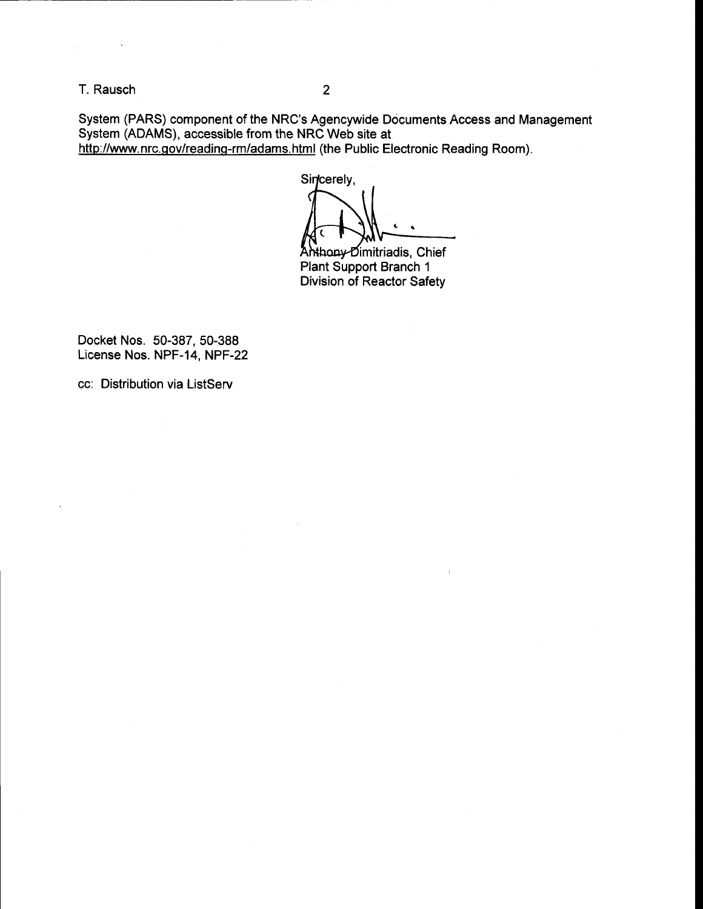T. Rausch <sup>2</sup>

System (PARS) component of the NRC's Agencywide Documents Access and Management System (ADAMS), accessible from the NRC Web site at http://www.nrc.gov/reading-rm/adams.html (the Public Electronic Reading Room).

Sincerely,

**Anthony Dimitriadis, Chief<br>Plant Support Branch 1** Division of Reactor Safety

 $\overline{1}$ 

Docket Nos. 50-387, 50-388 License Nos. NPF-14, NPF-22

cc: Distribution via ListServ